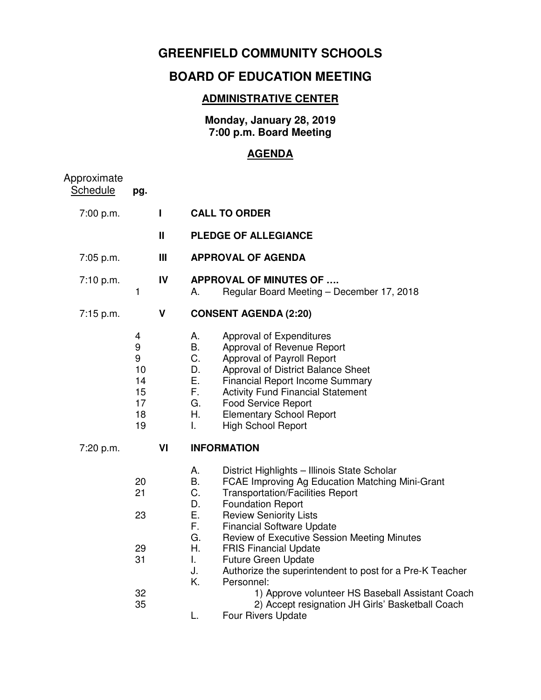## **GREENFIELD COMMUNITY SCHOOLS**

## **BOARD OF EDUCATION MEETING**

## **ADMINISTRATIVE CENTER**

**Monday, January 28, 2019 7:00 p.m. Board Meeting** 

## **AGENDA**

| Approximate<br><b>Schedule</b> | pg.                                             |                |                                                                                                                                                                                                                                                                                                                                                                                                                                                                                                      |  |  |
|--------------------------------|-------------------------------------------------|----------------|------------------------------------------------------------------------------------------------------------------------------------------------------------------------------------------------------------------------------------------------------------------------------------------------------------------------------------------------------------------------------------------------------------------------------------------------------------------------------------------------------|--|--|
| 7:00 p.m.                      |                                                 | L              | <b>CALL TO ORDER</b>                                                                                                                                                                                                                                                                                                                                                                                                                                                                                 |  |  |
|                                |                                                 | Ш              | <b>PLEDGE OF ALLEGIANCE</b>                                                                                                                                                                                                                                                                                                                                                                                                                                                                          |  |  |
| 7:05 p.m.                      |                                                 | $\mathbf{III}$ | <b>APPROVAL OF AGENDA</b>                                                                                                                                                                                                                                                                                                                                                                                                                                                                            |  |  |
| 7:10 p.m.                      | $\mathbf{1}$                                    | IV             | <b>APPROVAL OF MINUTES OF </b><br>Regular Board Meeting - December 17, 2018<br>А.                                                                                                                                                                                                                                                                                                                                                                                                                    |  |  |
| 7:15 p.m.                      |                                                 | V              | <b>CONSENT AGENDA (2:20)</b>                                                                                                                                                                                                                                                                                                                                                                                                                                                                         |  |  |
|                                | 4<br>9<br>9<br>10<br>14<br>15<br>17<br>18<br>19 |                | А.<br>Approval of Expenditures<br>В.<br>Approval of Revenue Report<br>C.<br>Approval of Payroll Report<br>D.<br>Approval of District Balance Sheet<br>Ε.<br><b>Financial Report Income Summary</b><br>F.<br><b>Activity Fund Financial Statement</b><br>G.<br>Food Service Report<br>Η.<br><b>Elementary School Report</b><br>I.<br><b>High School Report</b>                                                                                                                                        |  |  |
| 7:20 p.m.                      |                                                 | VI             | <b>INFORMATION</b>                                                                                                                                                                                                                                                                                                                                                                                                                                                                                   |  |  |
|                                | 20<br>21<br>23<br>29<br>31                      |                | А.<br>District Highlights - Illinois State Scholar<br>B.<br>FCAE Improving Ag Education Matching Mini-Grant<br>C.<br><b>Transportation/Facilities Report</b><br>D.<br><b>Foundation Report</b><br>Ε.<br><b>Review Seniority Lists</b><br>F.<br><b>Financial Software Update</b><br>G.<br>Review of Executive Session Meeting Minutes<br>Η.<br><b>FRIS Financial Update</b><br>L.<br><b>Future Green Update</b><br>J.<br>Authorize the superintendent to post for a Pre-K Teacher<br>Κ.<br>Personnel: |  |  |
|                                | 32<br>35                                        |                | 1) Approve volunteer HS Baseball Assistant Coach<br>2) Accept resignation JH Girls' Basketball Coach<br>Four Rivers Update<br>L.                                                                                                                                                                                                                                                                                                                                                                     |  |  |